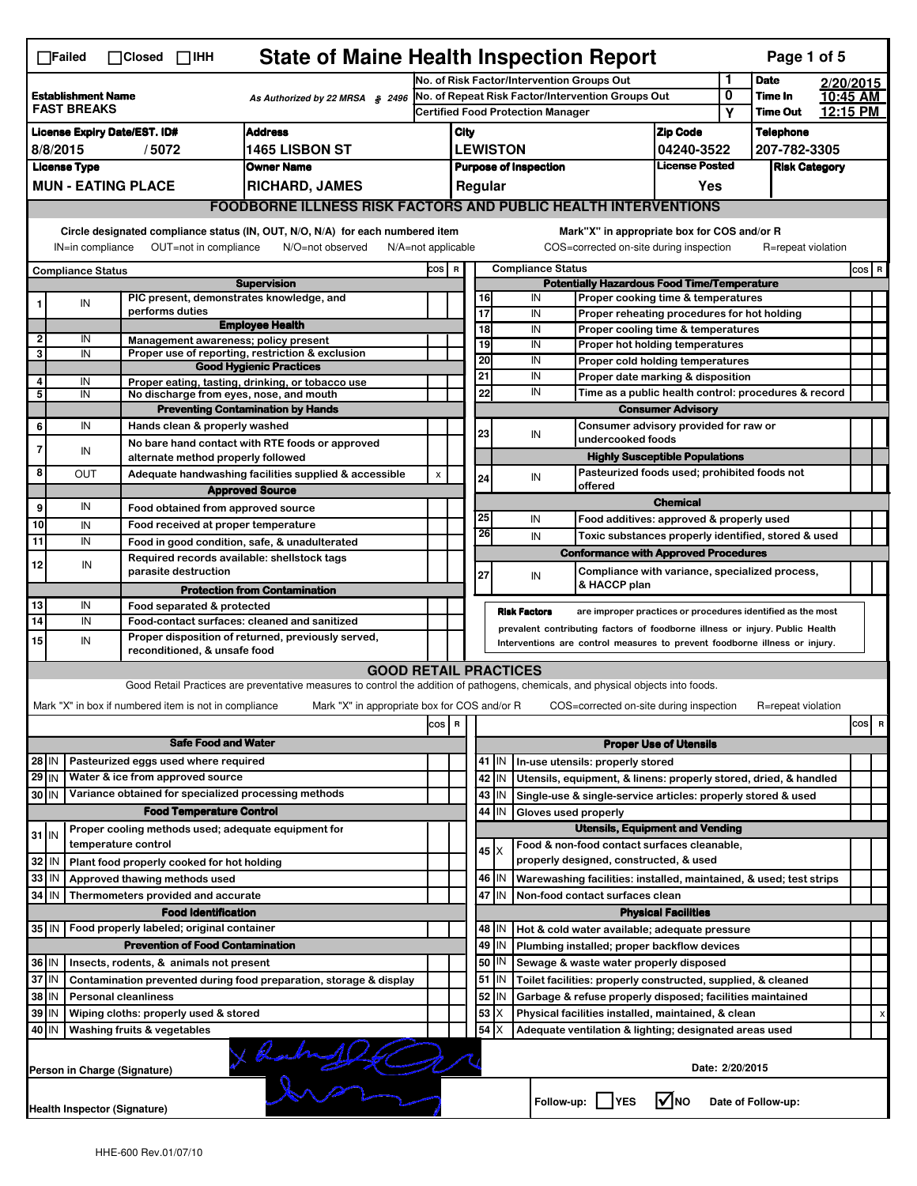|                                                                                    | <b>State of Maine Health Inspection Report</b><br>Page 1 of 5<br>$\Box$ Failed<br>$\Box$ Closed $\Box$ IHH                                                             |  |                                                             |                                                                                                                              |                                                                                               |                                                                                         |                       |             |                          |                                                                                        |                               |                            |                    |                      |       |
|------------------------------------------------------------------------------------|------------------------------------------------------------------------------------------------------------------------------------------------------------------------|--|-------------------------------------------------------------|------------------------------------------------------------------------------------------------------------------------------|-----------------------------------------------------------------------------------------------|-----------------------------------------------------------------------------------------|-----------------------|-------------|--------------------------|----------------------------------------------------------------------------------------|-------------------------------|----------------------------|--------------------|----------------------|-------|
|                                                                                    |                                                                                                                                                                        |  |                                                             |                                                                                                                              |                                                                                               | No. of Risk Factor/Intervention Groups Out                                              |                       |             |                          |                                                                                        | 1                             | <b>Date</b>                |                    | 2/20/2015            |       |
| <b>Establishment Name</b><br>As Authorized by 22 MRSA § 2496<br><b>FAST BREAKS</b> |                                                                                                                                                                        |  |                                                             |                                                                                                                              | No. of Repeat Risk Factor/Intervention Groups Out<br><b>Certified Food Protection Manager</b> |                                                                                         |                       |             |                          |                                                                                        | 0<br>Υ                        | Time In<br><b>Time Out</b> |                    | 10:45 AM<br>12:15 PM |       |
| <b>Address</b>                                                                     |                                                                                                                                                                        |  |                                                             |                                                                                                                              |                                                                                               |                                                                                         |                       |             |                          |                                                                                        |                               |                            |                    |                      |       |
| <b>License Expiry Date/EST. ID#</b><br>8/8/2015                                    |                                                                                                                                                                        |  |                                                             |                                                                                                                              |                                                                                               | <b>Zip Code</b><br>City                                                                 |                       |             |                          |                                                                                        |                               | <b>Telephone</b>           |                    |                      |       |
|                                                                                    | <b>License Type</b>                                                                                                                                                    |  | /5072                                                       | <b>1465 LISBON ST</b><br><b>Owner Name</b>                                                                                   |                                                                                               | <b>LEWISTON</b><br>04240-3522<br><b>License Posted</b>                                  |                       |             |                          |                                                                                        | 207-782-3305                  |                            |                    |                      |       |
|                                                                                    |                                                                                                                                                                        |  | <b>MUN - EATING PLACE</b>                                   | <b>RICHARD, JAMES</b>                                                                                                        |                                                                                               | <b>Purpose of Inspection</b><br><b>Risk Category</b>                                    |                       |             |                          |                                                                                        |                               |                            |                    |                      |       |
|                                                                                    |                                                                                                                                                                        |  |                                                             |                                                                                                                              |                                                                                               | Regular<br>Yes<br><b>FOODBORNE ILLNESS RISK FACTORS AND PUBLIC HEALTH INTERVENTIONS</b> |                       |             |                          |                                                                                        |                               |                            |                    |                      |       |
|                                                                                    |                                                                                                                                                                        |  |                                                             |                                                                                                                              |                                                                                               |                                                                                         |                       |             |                          |                                                                                        |                               |                            |                    |                      |       |
|                                                                                    | IN=in compliance                                                                                                                                                       |  | OUT=not in compliance                                       | Circle designated compliance status (IN, OUT, N/O, N/A) for each numbered item<br>N/O=not observed<br>$N/A = not$ applicable |                                                                                               |                                                                                         |                       |             |                          | Mark"X" in appropriate box for COS and/or R<br>COS=corrected on-site during inspection |                               |                            | R=repeat violation |                      |       |
|                                                                                    | <b>Compliance Status</b>                                                                                                                                               |  |                                                             |                                                                                                                              | COS R                                                                                         |                                                                                         |                       |             | <b>Compliance Status</b> |                                                                                        |                               |                            |                    |                      | COS R |
|                                                                                    |                                                                                                                                                                        |  |                                                             | <b>Supervision</b>                                                                                                           |                                                                                               |                                                                                         |                       |             |                          | <b>Potentially Hazardous Food Time/Temperature</b>                                     |                               |                            |                    |                      |       |
|                                                                                    | IN                                                                                                                                                                     |  | PIC present, demonstrates knowledge, and<br>performs duties |                                                                                                                              |                                                                                               |                                                                                         | 16<br>$\overline{17}$ |             | IN                       | Proper cooking time & temperatures                                                     |                               |                            |                    |                      |       |
|                                                                                    |                                                                                                                                                                        |  |                                                             | <b>Employee Health</b>                                                                                                       |                                                                                               |                                                                                         | 18                    |             | IN<br>IN                 | Proper reheating procedures for hot holding<br>Proper cooling time & temperatures      |                               |                            |                    |                      |       |
| $\mathbf{2}$                                                                       | IN                                                                                                                                                                     |  | Management awareness; policy present                        |                                                                                                                              |                                                                                               |                                                                                         | 19                    |             | IN                       | Proper hot holding temperatures                                                        |                               |                            |                    |                      |       |
| 3                                                                                  | IN                                                                                                                                                                     |  |                                                             | Proper use of reporting, restriction & exclusion                                                                             |                                                                                               |                                                                                         | 20                    |             | IN                       | Proper cold holding temperatures                                                       |                               |                            |                    |                      |       |
|                                                                                    | <b>Good Hygienic Practices</b>                                                                                                                                         |  |                                                             |                                                                                                                              |                                                                                               |                                                                                         | 21                    |             | IN                       | Proper date marking & disposition                                                      |                               |                            |                    |                      |       |
| 4                                                                                  | IN<br>Proper eating, tasting, drinking, or tobacco use<br>5<br>IN<br>No discharge from eyes, nose, and mouth                                                           |  |                                                             |                                                                                                                              |                                                                                               |                                                                                         | 22                    |             | IN                       | Time as a public health control: procedures & record                                   |                               |                            |                    |                      |       |
|                                                                                    |                                                                                                                                                                        |  |                                                             | <b>Preventing Contamination by Hands</b>                                                                                     |                                                                                               |                                                                                         |                       |             |                          |                                                                                        | <b>Consumer Advisory</b>      |                            |                    |                      |       |
| 6                                                                                  | IN                                                                                                                                                                     |  | Hands clean & properly washed                               |                                                                                                                              |                                                                                               |                                                                                         |                       |             |                          | Consumer advisory provided for raw or                                                  |                               |                            |                    |                      |       |
|                                                                                    |                                                                                                                                                                        |  |                                                             | No bare hand contact with RTE foods or approved                                                                              |                                                                                               |                                                                                         | 23                    |             | IN                       | undercooked foods                                                                      |                               |                            |                    |                      |       |
| 7                                                                                  | IN                                                                                                                                                                     |  | alternate method properly followed                          |                                                                                                                              |                                                                                               |                                                                                         |                       |             |                          | <b>Highly Susceptible Populations</b>                                                  |                               |                            |                    |                      |       |
| 8                                                                                  | OUT                                                                                                                                                                    |  |                                                             | Adequate handwashing facilities supplied & accessible                                                                        | X                                                                                             |                                                                                         | 24                    |             | IN                       | Pasteurized foods used; prohibited foods not                                           |                               |                            |                    |                      |       |
|                                                                                    |                                                                                                                                                                        |  |                                                             | <b>Approved Source</b>                                                                                                       |                                                                                               |                                                                                         |                       |             |                          | offered                                                                                |                               |                            |                    |                      |       |
| 9                                                                                  | IN                                                                                                                                                                     |  | Food obtained from approved source                          |                                                                                                                              |                                                                                               |                                                                                         |                       |             |                          |                                                                                        | <b>Chemical</b>               |                            |                    |                      |       |
| 10                                                                                 | IN                                                                                                                                                                     |  | Food received at proper temperature                         |                                                                                                                              |                                                                                               |                                                                                         | 25                    |             | IN                       | Food additives: approved & properly used                                               |                               |                            |                    |                      |       |
| 11                                                                                 | IN                                                                                                                                                                     |  | Food in good condition, safe, & unadulterated               |                                                                                                                              |                                                                                               |                                                                                         | 26                    |             | IN                       | Toxic substances properly identified, stored & used                                    |                               |                            |                    |                      |       |
| 12                                                                                 | IN                                                                                                                                                                     |  | Required records available: shellstock tags                 |                                                                                                                              |                                                                                               |                                                                                         |                       |             |                          | <b>Conformance with Approved Procedures</b>                                            |                               |                            |                    |                      |       |
|                                                                                    |                                                                                                                                                                        |  | parasite destruction                                        |                                                                                                                              |                                                                                               |                                                                                         | 27                    |             | IN                       | Compliance with variance, specialized process,<br>& HACCP plan                         |                               |                            |                    |                      |       |
|                                                                                    |                                                                                                                                                                        |  |                                                             | <b>Protection from Contamination</b>                                                                                         |                                                                                               |                                                                                         |                       |             |                          |                                                                                        |                               |                            |                    |                      |       |
| 13                                                                                 | IN                                                                                                                                                                     |  | Food separated & protected                                  |                                                                                                                              |                                                                                               |                                                                                         |                       |             | <b>Risk Factors</b>      | are improper practices or procedures identified as the most                            |                               |                            |                    |                      |       |
| 14                                                                                 | IN                                                                                                                                                                     |  | Food-contact surfaces: cleaned and sanitized                |                                                                                                                              |                                                                                               |                                                                                         |                       |             |                          | prevalent contributing factors of foodborne illness or injury. Public Health           |                               |                            |                    |                      |       |
| 15                                                                                 | IN                                                                                                                                                                     |  | reconditioned, & unsafe food                                | Proper disposition of returned, previously served,                                                                           |                                                                                               |                                                                                         |                       |             |                          | Interventions are control measures to prevent foodborne illness or injury.             |                               |                            |                    |                      |       |
|                                                                                    |                                                                                                                                                                        |  |                                                             |                                                                                                                              |                                                                                               |                                                                                         |                       |             |                          |                                                                                        |                               |                            |                    |                      |       |
|                                                                                    | <b>GOOD RETAIL PRACTICES</b><br>Good Retail Practices are preventative measures to control the addition of pathogens, chemicals, and physical objects into foods.      |  |                                                             |                                                                                                                              |                                                                                               |                                                                                         |                       |             |                          |                                                                                        |                               |                            |                    |                      |       |
|                                                                                    | Mark "X" in box if numbered item is not in compliance<br>Mark "X" in appropriate box for COS and/or R<br>COS=corrected on-site during inspection<br>R=repeat violation |  |                                                             |                                                                                                                              |                                                                                               |                                                                                         |                       |             |                          |                                                                                        |                               |                            |                    |                      |       |
| cos<br>R                                                                           |                                                                                                                                                                        |  |                                                             |                                                                                                                              |                                                                                               |                                                                                         |                       |             |                          |                                                                                        |                               |                            |                    |                      |       |
| cos R                                                                              |                                                                                                                                                                        |  |                                                             |                                                                                                                              |                                                                                               |                                                                                         |                       |             |                          |                                                                                        |                               |                            |                    |                      |       |
|                                                                                    | <b>Safe Food and Water</b>                                                                                                                                             |  |                                                             |                                                                                                                              |                                                                                               |                                                                                         |                       |             |                          |                                                                                        | <b>Proper Use of Utensils</b> |                            |                    |                      |       |
| Pasteurized eggs used where required<br>28 IN                                      |                                                                                                                                                                        |  |                                                             |                                                                                                                              |                                                                                               |                                                                                         |                       | 41   IN     |                          | In-use utensils: properly stored                                                       |                               |                            |                    |                      |       |
| $29$ IN<br>Water & ice from approved source                                        |                                                                                                                                                                        |  |                                                             |                                                                                                                              |                                                                                               |                                                                                         |                       | 42 IN       |                          | Utensils, equipment, & linens: properly stored, dried, & handled                       |                               |                            |                    |                      |       |
| 30 IN                                                                              |                                                                                                                                                                        |  | Variance obtained for specialized processing methods        |                                                                                                                              |                                                                                               |                                                                                         |                       | 43   IN     |                          | Single-use & single-service articles: properly stored & used                           |                               |                            |                    |                      |       |
|                                                                                    |                                                                                                                                                                        |  | <b>Food Temperature Control</b>                             |                                                                                                                              |                                                                                               |                                                                                         | 44                    | IN          | Gloves used properly     |                                                                                        |                               |                            |                    |                      |       |
| $31$ IN                                                                            |                                                                                                                                                                        |  | Proper cooling methods used; adequate equipment for         |                                                                                                                              |                                                                                               |                                                                                         |                       |             |                          | <b>Utensils, Equipment and Vending</b>                                                 |                               |                            |                    |                      |       |
|                                                                                    |                                                                                                                                                                        |  | temperature control                                         |                                                                                                                              |                                                                                               |                                                                                         |                       | $45 \times$ |                          | Food & non-food contact surfaces cleanable,                                            |                               |                            |                    |                      |       |
| 32                                                                                 | l IN                                                                                                                                                                   |  | Plant food properly cooked for hot holding                  |                                                                                                                              |                                                                                               |                                                                                         |                       |             |                          | properly designed, constructed, & used                                                 |                               |                            |                    |                      |       |
| 33                                                                                 | IN                                                                                                                                                                     |  | Approved thawing methods used                               |                                                                                                                              |                                                                                               |                                                                                         |                       | 46   IN     |                          | Warewashing facilities: installed, maintained, & used; test strips                     |                               |                            |                    |                      |       |
| 34 IN                                                                              |                                                                                                                                                                        |  | Thermometers provided and accurate                          |                                                                                                                              |                                                                                               |                                                                                         |                       | 47 IN       |                          | Non-food contact surfaces clean                                                        |                               |                            |                    |                      |       |
|                                                                                    |                                                                                                                                                                        |  | <b>Food Identification</b>                                  |                                                                                                                              |                                                                                               |                                                                                         |                       |             |                          |                                                                                        | <b>Physical Facilities</b>    |                            |                    |                      |       |
| 35 IN                                                                              |                                                                                                                                                                        |  | Food properly labeled; original container                   |                                                                                                                              |                                                                                               |                                                                                         |                       | 48   IN     |                          | Hot & cold water available; adequate pressure                                          |                               |                            |                    |                      |       |
|                                                                                    |                                                                                                                                                                        |  | <b>Prevention of Food Contamination</b>                     |                                                                                                                              |                                                                                               |                                                                                         | 49                    | IN          |                          | Plumbing installed; proper backflow devices                                            |                               |                            |                    |                      |       |
| 36 IN                                                                              |                                                                                                                                                                        |  | Insects, rodents, & animals not present                     |                                                                                                                              |                                                                                               |                                                                                         | 50                    | IN          |                          | Sewage & waste water properly disposed                                                 |                               |                            |                    |                      |       |
| 37 IN                                                                              |                                                                                                                                                                        |  |                                                             | Contamination prevented during food preparation, storage & display                                                           |                                                                                               |                                                                                         |                       | 51 IN       |                          | Toilet facilities: properly constructed, supplied, & cleaned                           |                               |                            |                    |                      |       |
| 38 IN                                                                              |                                                                                                                                                                        |  | <b>Personal cleanliness</b>                                 |                                                                                                                              |                                                                                               |                                                                                         | 52                    | ΙN          |                          | Garbage & refuse properly disposed; facilities maintained                              |                               |                            |                    |                      |       |
| 39 IN                                                                              |                                                                                                                                                                        |  | Wiping cloths: properly used & stored                       |                                                                                                                              |                                                                                               |                                                                                         | 53                    | $\times$    |                          | Physical facilities installed, maintained, & clean                                     |                               |                            |                    |                      |       |
| 40 IN                                                                              |                                                                                                                                                                        |  | Washing fruits & vegetables                                 |                                                                                                                              |                                                                                               |                                                                                         | 54                    | ΙX          |                          | Adequate ventilation & lighting; designated areas used                                 |                               |                            |                    |                      |       |
|                                                                                    | Person in Charge (Signature)                                                                                                                                           |  |                                                             | $R_{\Lambda}$                                                                                                                |                                                                                               |                                                                                         |                       |             |                          |                                                                                        | Date: 2/20/2015               |                            |                    |                      |       |
|                                                                                    | l√lno<br>Follow-up:     YES<br>Date of Follow-up:<br><b>Health Inspector (Signature)</b>                                                                               |  |                                                             |                                                                                                                              |                                                                                               |                                                                                         |                       |             |                          |                                                                                        |                               |                            |                    |                      |       |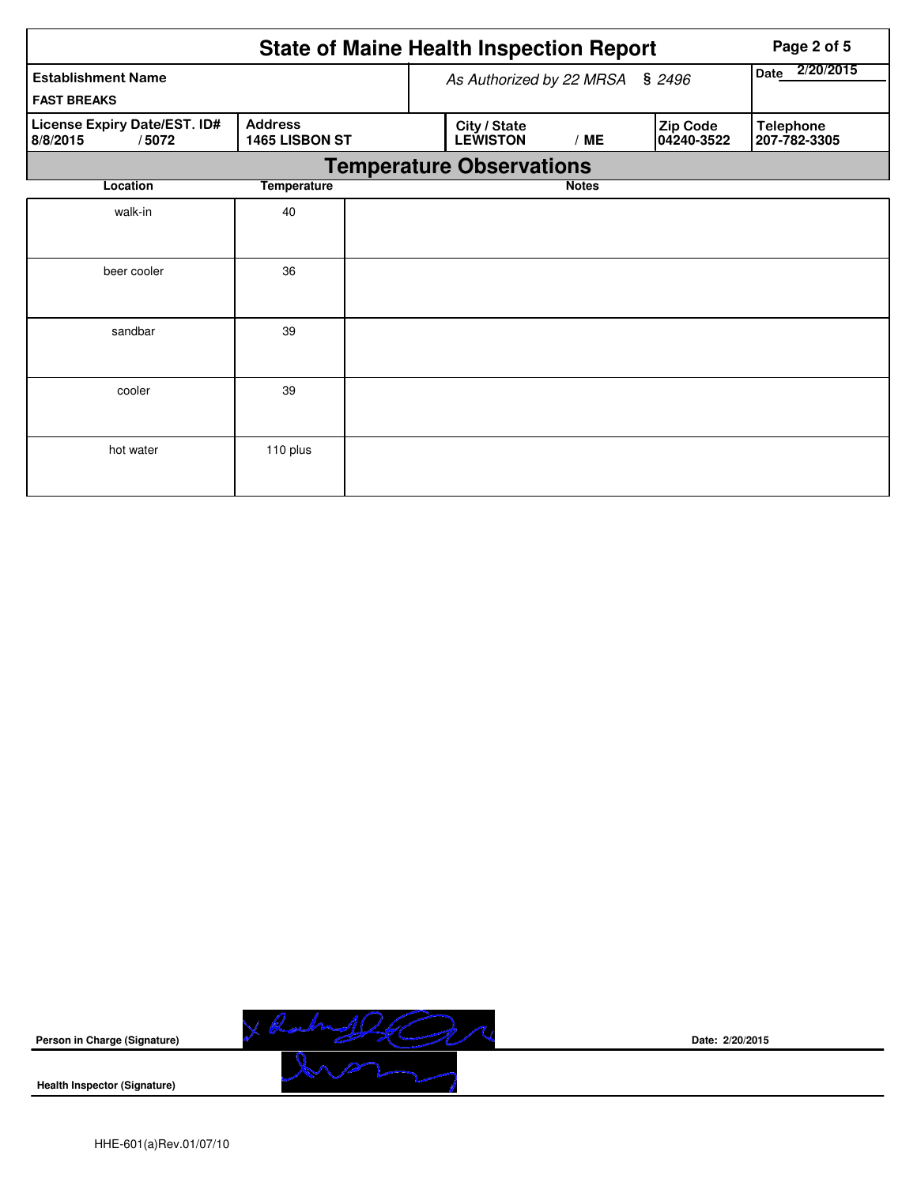|                                                   |                                  | <b>State of Maine Health Inspection Report</b> | Page 2 of 5       |                        |                                  |
|---------------------------------------------------|----------------------------------|------------------------------------------------|-------------------|------------------------|----------------------------------|
| <b>Establishment Name</b><br><b>FAST BREAKS</b>   |                                  | As Authorized by 22 MRSA § 2496                | 2/20/2015<br>Date |                        |                                  |
| License Expiry Date/EST. ID#<br>8/8/2015<br>/5072 | <b>Address</b><br>1465 LISBON ST | City / State<br><b>LEWISTON</b>                | /ME               | Zip Code<br>04240-3522 | <b>Telephone</b><br>207-782-3305 |
|                                                   |                                  | <b>Temperature Observations</b>                |                   |                        |                                  |
| Location                                          | <b>Temperature</b>               |                                                | <b>Notes</b>      |                        |                                  |
| walk-in                                           | 40                               |                                                |                   |                        |                                  |
| beer cooler                                       | 36                               |                                                |                   |                        |                                  |
| sandbar                                           | 39                               |                                                |                   |                        |                                  |
| cooler                                            | 39                               |                                                |                   |                        |                                  |
| hot water                                         | 110 plus                         |                                                |                   |                        |                                  |



**Date: 2/20/2015**

**Health Inspector (Signature)**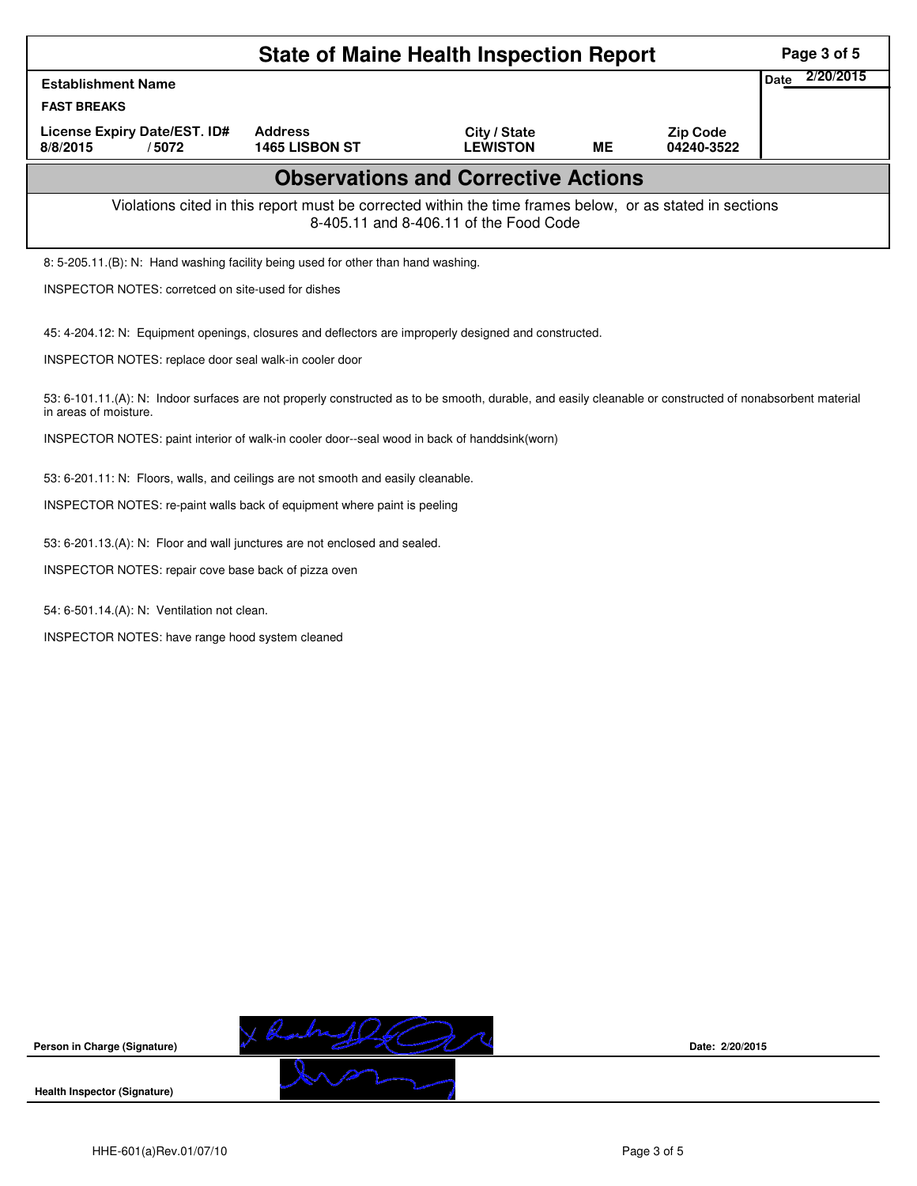| <b>Establishment Name</b><br><b>FAST BREAKS</b><br><b>Address</b><br>License Expiry Date/EST. ID#<br>City / State<br><b>LEWISTON</b><br>/5072<br>1465 LISBON ST<br>8/8/2015<br>МE<br><b>Observations and Corrective Actions</b><br>Violations cited in this report must be corrected within the time frames below, or as stated in sections<br>8-405.11 and 8-406.11 of the Food Code<br>8: 5-205.11.(B): N: Hand washing facility being used for other than hand washing.<br>INSPECTOR NOTES: corretced on site-used for dishes<br>45: 4-204.12: N: Equipment openings, closures and deflectors are improperly designed and constructed.<br>INSPECTOR NOTES: replace door seal walk-in cooler door<br>53: 6-101.11.(A): N: Indoor surfaces are not properly constructed as to be smooth, durable, and easily cleanable or constructed of nonabsorbent material<br>in areas of moisture.<br>INSPECTOR NOTES: paint interior of walk-in cooler door--seal wood in back of handdsink(worn)<br>53: 6-201.11: N: Floors, walls, and ceilings are not smooth and easily cleanable.<br>INSPECTOR NOTES: re-paint walls back of equipment where paint is peeling | <b>Zip Code</b><br>04240-3522 | 2/20/2015<br><b>Date</b> |
|-----------------------------------------------------------------------------------------------------------------------------------------------------------------------------------------------------------------------------------------------------------------------------------------------------------------------------------------------------------------------------------------------------------------------------------------------------------------------------------------------------------------------------------------------------------------------------------------------------------------------------------------------------------------------------------------------------------------------------------------------------------------------------------------------------------------------------------------------------------------------------------------------------------------------------------------------------------------------------------------------------------------------------------------------------------------------------------------------------------------------------------------------------------|-------------------------------|--------------------------|
|                                                                                                                                                                                                                                                                                                                                                                                                                                                                                                                                                                                                                                                                                                                                                                                                                                                                                                                                                                                                                                                                                                                                                           |                               |                          |
|                                                                                                                                                                                                                                                                                                                                                                                                                                                                                                                                                                                                                                                                                                                                                                                                                                                                                                                                                                                                                                                                                                                                                           |                               |                          |
|                                                                                                                                                                                                                                                                                                                                                                                                                                                                                                                                                                                                                                                                                                                                                                                                                                                                                                                                                                                                                                                                                                                                                           |                               |                          |
|                                                                                                                                                                                                                                                                                                                                                                                                                                                                                                                                                                                                                                                                                                                                                                                                                                                                                                                                                                                                                                                                                                                                                           |                               |                          |
|                                                                                                                                                                                                                                                                                                                                                                                                                                                                                                                                                                                                                                                                                                                                                                                                                                                                                                                                                                                                                                                                                                                                                           |                               |                          |
|                                                                                                                                                                                                                                                                                                                                                                                                                                                                                                                                                                                                                                                                                                                                                                                                                                                                                                                                                                                                                                                                                                                                                           |                               |                          |
|                                                                                                                                                                                                                                                                                                                                                                                                                                                                                                                                                                                                                                                                                                                                                                                                                                                                                                                                                                                                                                                                                                                                                           |                               |                          |
|                                                                                                                                                                                                                                                                                                                                                                                                                                                                                                                                                                                                                                                                                                                                                                                                                                                                                                                                                                                                                                                                                                                                                           |                               |                          |
|                                                                                                                                                                                                                                                                                                                                                                                                                                                                                                                                                                                                                                                                                                                                                                                                                                                                                                                                                                                                                                                                                                                                                           |                               |                          |
|                                                                                                                                                                                                                                                                                                                                                                                                                                                                                                                                                                                                                                                                                                                                                                                                                                                                                                                                                                                                                                                                                                                                                           |                               |                          |
|                                                                                                                                                                                                                                                                                                                                                                                                                                                                                                                                                                                                                                                                                                                                                                                                                                                                                                                                                                                                                                                                                                                                                           |                               |                          |
|                                                                                                                                                                                                                                                                                                                                                                                                                                                                                                                                                                                                                                                                                                                                                                                                                                                                                                                                                                                                                                                                                                                                                           |                               |                          |
|                                                                                                                                                                                                                                                                                                                                                                                                                                                                                                                                                                                                                                                                                                                                                                                                                                                                                                                                                                                                                                                                                                                                                           |                               |                          |
| 53: 6-201.13.(A): N: Floor and wall junctures are not enclosed and sealed.                                                                                                                                                                                                                                                                                                                                                                                                                                                                                                                                                                                                                                                                                                                                                                                                                                                                                                                                                                                                                                                                                |                               |                          |
| INSPECTOR NOTES: repair cove base back of pizza oven                                                                                                                                                                                                                                                                                                                                                                                                                                                                                                                                                                                                                                                                                                                                                                                                                                                                                                                                                                                                                                                                                                      |                               |                          |
| 54: 6-501.14.(A): N: Ventilation not clean.                                                                                                                                                                                                                                                                                                                                                                                                                                                                                                                                                                                                                                                                                                                                                                                                                                                                                                                                                                                                                                                                                                               |                               |                          |
| INSPECTOR NOTES: have range hood system cleaned                                                                                                                                                                                                                                                                                                                                                                                                                                                                                                                                                                                                                                                                                                                                                                                                                                                                                                                                                                                                                                                                                                           |                               |                          |



**Date: 2/20/2015**

**Health Inspector (Signature)**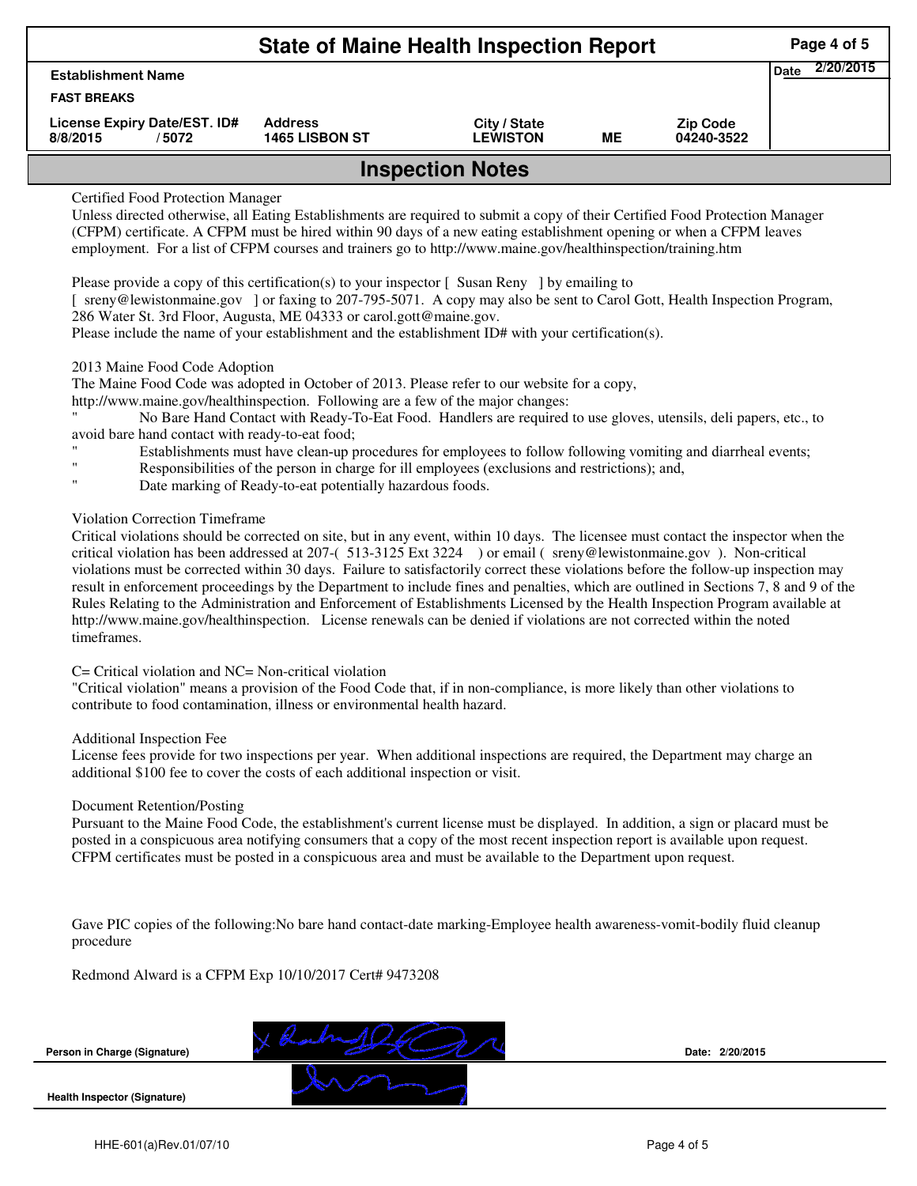| <b>State of Maine Health Inspection Report</b>     |                                         |                                 |    |                               |                          |  |  |  |
|----------------------------------------------------|-----------------------------------------|---------------------------------|----|-------------------------------|--------------------------|--|--|--|
| <b>Establishment Name</b>                          |                                         |                                 |    |                               | 2/20/2015<br><b>Date</b> |  |  |  |
| <b>FAST BREAKS</b>                                 |                                         |                                 |    |                               |                          |  |  |  |
| License Expiry Date/EST. ID#<br>8/8/2015<br>/ 5072 | <b>Address</b><br><b>1465 LISBON ST</b> | City / State<br><b>LEWISTON</b> | MЕ | <b>Zip Code</b><br>04240-3522 |                          |  |  |  |
| <b>Inspection Notes</b>                            |                                         |                                 |    |                               |                          |  |  |  |

## Certified Food Protection Manager

Unless directed otherwise, all Eating Establishments are required to submit a copy of their Certified Food Protection Manager (CFPM) certificate. A CFPM must be hired within 90 days of a new eating establishment opening or when a CFPM leaves employment. For a list of CFPM courses and trainers go to http://www.maine.gov/healthinspection/training.htm

Please provide a copy of this certification(s) to your inspector  $\lceil$  Susan Reny  $\rceil$  by emailing to

[ sreny@lewistonmaine.gov ] or faxing to 207-795-5071. A copy may also be sent to Carol Gott, Health Inspection Program, 286 Water St. 3rd Floor, Augusta, ME 04333 or carol.gott@maine.gov.

Please include the name of your establishment and the establishment ID# with your certification(s).

### 2013 Maine Food Code Adoption

The Maine Food Code was adopted in October of 2013. Please refer to our website for a copy,

http://www.maine.gov/healthinspection. Following are a few of the major changes:

" No Bare Hand Contact with Ready-To-Eat Food. Handlers are required to use gloves, utensils, deli papers, etc., to avoid bare hand contact with ready-to-eat food;

- Establishments must have clean-up procedures for employees to follow following vomiting and diarrheal events;
- Responsibilities of the person in charge for ill employees (exclusions and restrictions); and,
- Date marking of Ready-to-eat potentially hazardous foods.

# Violation Correction Timeframe

Critical violations should be corrected on site, but in any event, within 10 days. The licensee must contact the inspector when the critical violation has been addressed at 207-( 513-3125 Ext 3224 ) or email ( sreny@lewistonmaine.gov ). Non-critical violations must be corrected within 30 days. Failure to satisfactorily correct these violations before the follow-up inspection may result in enforcement proceedings by the Department to include fines and penalties, which are outlined in Sections 7, 8 and 9 of the Rules Relating to the Administration and Enforcement of Establishments Licensed by the Health Inspection Program available at http://www.maine.gov/healthinspection. License renewals can be denied if violations are not corrected within the noted timeframes.

### C= Critical violation and NC= Non-critical violation

"Critical violation" means a provision of the Food Code that, if in non-compliance, is more likely than other violations to contribute to food contamination, illness or environmental health hazard.

#### Additional Inspection Fee

License fees provide for two inspections per year. When additional inspections are required, the Department may charge an additional \$100 fee to cover the costs of each additional inspection or visit.

#### Document Retention/Posting

Pursuant to the Maine Food Code, the establishment's current license must be displayed. In addition, a sign or placard must be posted in a conspicuous area notifying consumers that a copy of the most recent inspection report is available upon request. CFPM certificates must be posted in a conspicuous area and must be available to the Department upon request.

Gave PIC copies of the following:No bare hand contact-date marking-Employee health awareness-vomit-bodily fluid cleanup procedure

Redmond Alward is a CFPM Exp 10/10/2017 Cert# 9473208

**Person in Charge (Signature)**



**Date: 2/20/2015**